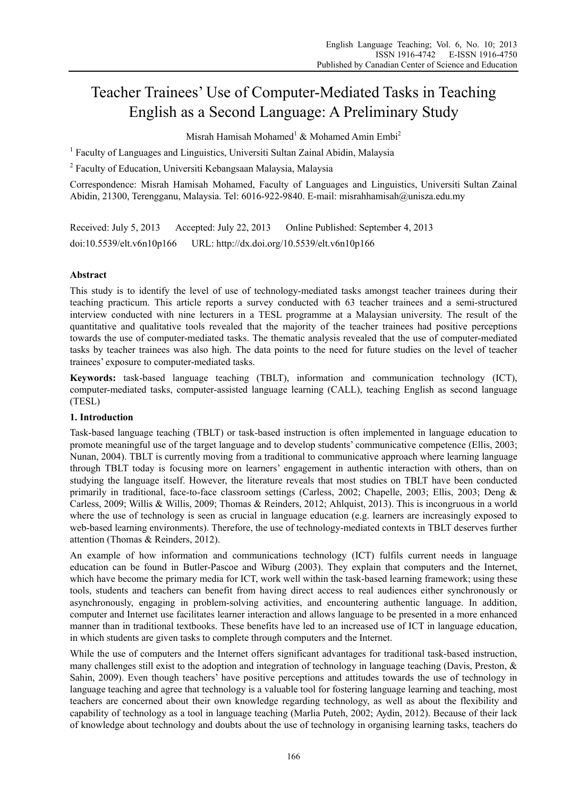# Teacher Trainees' Use of Computer-Mediated Tasks in Teaching English as a Second Language: A Preliminary Study

Misrah Hamisah Mohamed<sup>1</sup> & Mohamed Amin Embi<sup>2</sup>

<sup>1</sup> Faculty of Languages and Linguistics, Universiti Sultan Zainal Abidin, Malaysia

2 Faculty of Education, Universiti Kebangsaan Malaysia, Malaysia

Correspondence: Misrah Hamisah Mohamed, Faculty of Languages and Linguistics, Universiti Sultan Zainal Abidin, 21300, Terengganu, Malaysia. Tel: 6016-922-9840. E-mail: misrahhamisah@unisza.edu.my

Received: July 5, 2013 Accepted: July 22, 2013 Online Published: September 4, 2013 doi:10.5539/elt.v6n10p166 URL: http://dx.doi.org/10.5539/elt.v6n10p166

# **Abstract**

This study is to identify the level of use of technology-mediated tasks amongst teacher trainees during their teaching practicum. This article reports a survey conducted with 63 teacher trainees and a semi-structured interview conducted with nine lecturers in a TESL programme at a Malaysian university. The result of the quantitative and qualitative tools revealed that the majority of the teacher trainees had positive perceptions towards the use of computer-mediated tasks. The thematic analysis revealed that the use of computer-mediated tasks by teacher trainees was also high. The data points to the need for future studies on the level of teacher trainees' exposure to computer-mediated tasks.

**Keywords:** task-based language teaching (TBLT), information and communication technology (ICT), computer-mediated tasks, computer-assisted language learning (CALL), teaching English as second language (TESL)

# **1. Introduction**

Task-based language teaching (TBLT) or task-based instruction is often implemented in language education to promote meaningful use of the target language and to develop students' communicative competence (Ellis, 2003; Nunan, 2004). TBLT is currently moving from a traditional to communicative approach where learning language through TBLT today is focusing more on learners' engagement in authentic interaction with others, than on studying the language itself. However, the literature reveals that most studies on TBLT have been conducted primarily in traditional, face-to-face classroom settings (Carless, 2002; Chapelle, 2003; Ellis, 2003; Deng & Carless, 2009; Willis & Willis, 2009; Thomas & Reinders, 2012; Ahlquist, 2013). This is incongruous in a world where the use of technology is seen as crucial in language education (e.g. learners are increasingly exposed to web-based learning environments). Therefore, the use of technology-mediated contexts in TBLT deserves further attention (Thomas & Reinders, 2012).

An example of how information and communications technology (ICT) fulfils current needs in language education can be found in Butler-Pascoe and Wiburg (2003). They explain that computers and the Internet, which have become the primary media for ICT, work well within the task-based learning framework; using these tools, students and teachers can benefit from having direct access to real audiences either synchronously or asynchronously, engaging in problem-solving activities, and encountering authentic language. In addition, computer and Internet use facilitates learner interaction and allows language to be presented in a more enhanced manner than in traditional textbooks. These benefits have led to an increased use of ICT in language education, in which students are given tasks to complete through computers and the Internet.

While the use of computers and the Internet offers significant advantages for traditional task-based instruction, many challenges still exist to the adoption and integration of technology in language teaching (Davis, Preston,  $\&$ Sahin, 2009). Even though teachers' have positive perceptions and attitudes towards the use of technology in language teaching and agree that technology is a valuable tool for fostering language learning and teaching, most teachers are concerned about their own knowledge regarding technology, as well as about the flexibility and capability of technology as a tool in language teaching (Marlia Puteh, 2002; Aydin, 2012). Because of their lack of knowledge about technology and doubts about the use of technology in organising learning tasks, teachers do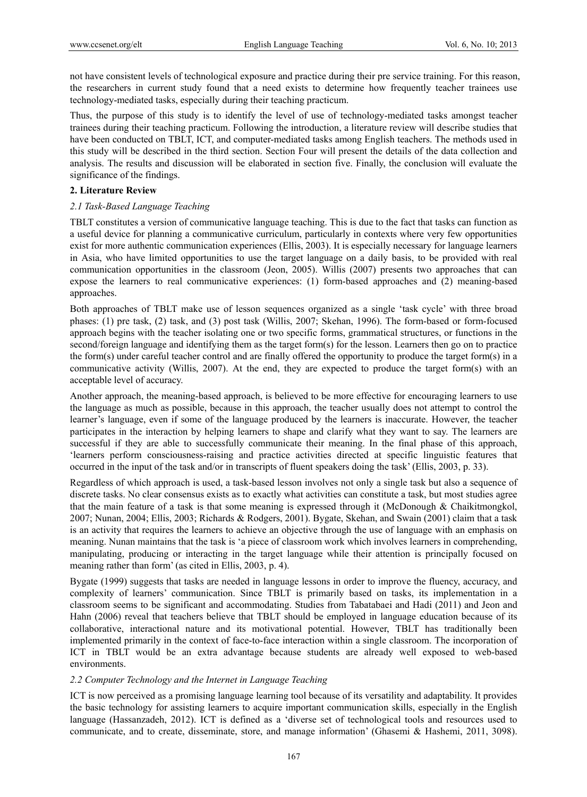not have consistent levels of technological exposure and practice during their pre service training. For this reason, the researchers in current study found that a need exists to determine how frequently teacher trainees use technology-mediated tasks, especially during their teaching practicum.

Thus, the purpose of this study is to identify the level of use of technology-mediated tasks amongst teacher trainees during their teaching practicum. Following the introduction, a literature review will describe studies that have been conducted on TBLT, ICT, and computer-mediated tasks among English teachers. The methods used in this study will be described in the third section. Section Four will present the details of the data collection and analysis. The results and discussion will be elaborated in section five. Finally, the conclusion will evaluate the significance of the findings.

# **2. Literature Review**

# *2.1 Task-Based Language Teaching*

TBLT constitutes a version of communicative language teaching. This is due to the fact that tasks can function as a useful device for planning a communicative curriculum, particularly in contexts where very few opportunities exist for more authentic communication experiences (Ellis, 2003). It is especially necessary for language learners in Asia, who have limited opportunities to use the target language on a daily basis, to be provided with real communication opportunities in the classroom (Jeon, 2005). Willis (2007) presents two approaches that can expose the learners to real communicative experiences: (1) form-based approaches and (2) meaning-based approaches.

Both approaches of TBLT make use of lesson sequences organized as a single 'task cycle' with three broad phases: (1) pre task, (2) task, and (3) post task (Willis, 2007; Skehan, 1996). The form-based or form-focused approach begins with the teacher isolating one or two specific forms, grammatical structures, or functions in the second/foreign language and identifying them as the target form(s) for the lesson. Learners then go on to practice the form(s) under careful teacher control and are finally offered the opportunity to produce the target form(s) in a communicative activity (Willis, 2007). At the end, they are expected to produce the target form(s) with an acceptable level of accuracy.

Another approach, the meaning-based approach, is believed to be more effective for encouraging learners to use the language as much as possible, because in this approach, the teacher usually does not attempt to control the learner's language, even if some of the language produced by the learners is inaccurate. However, the teacher participates in the interaction by helping learners to shape and clarify what they want to say. The learners are successful if they are able to successfully communicate their meaning. In the final phase of this approach, 'learners perform consciousness-raising and practice activities directed at specific linguistic features that occurred in the input of the task and/or in transcripts of fluent speakers doing the task' (Ellis, 2003, p. 33).

Regardless of which approach is used, a task-based lesson involves not only a single task but also a sequence of discrete tasks. No clear consensus exists as to exactly what activities can constitute a task, but most studies agree that the main feature of a task is that some meaning is expressed through it (McDonough & Chaikitmongkol, 2007; Nunan, 2004; Ellis, 2003; Richards & Rodgers, 2001). Bygate, Skehan, and Swain (2001) claim that a task is an activity that requires the learners to achieve an objective through the use of language with an emphasis on meaning. Nunan maintains that the task is 'a piece of classroom work which involves learners in comprehending, manipulating, producing or interacting in the target language while their attention is principally focused on meaning rather than form' (as cited in Ellis, 2003, p. 4).

Bygate (1999) suggests that tasks are needed in language lessons in order to improve the fluency, accuracy, and complexity of learners' communication. Since TBLT is primarily based on tasks, its implementation in a classroom seems to be significant and accommodating. Studies from Tabatabaei and Hadi (2011) and Jeon and Hahn (2006) reveal that teachers believe that TBLT should be employed in language education because of its collaborative, interactional nature and its motivational potential. However, TBLT has traditionally been implemented primarily in the context of face-to-face interaction within a single classroom. The incorporation of ICT in TBLT would be an extra advantage because students are already well exposed to web-based environments.

# *2.2 Computer Technology and the Internet in Language Teaching*

ICT is now perceived as a promising language learning tool because of its versatility and adaptability. It provides the basic technology for assisting learners to acquire important communication skills, especially in the English language (Hassanzadeh, 2012). ICT is defined as a 'diverse set of technological tools and resources used to communicate, and to create, disseminate, store, and manage information' (Ghasemi & Hashemi, 2011, 3098).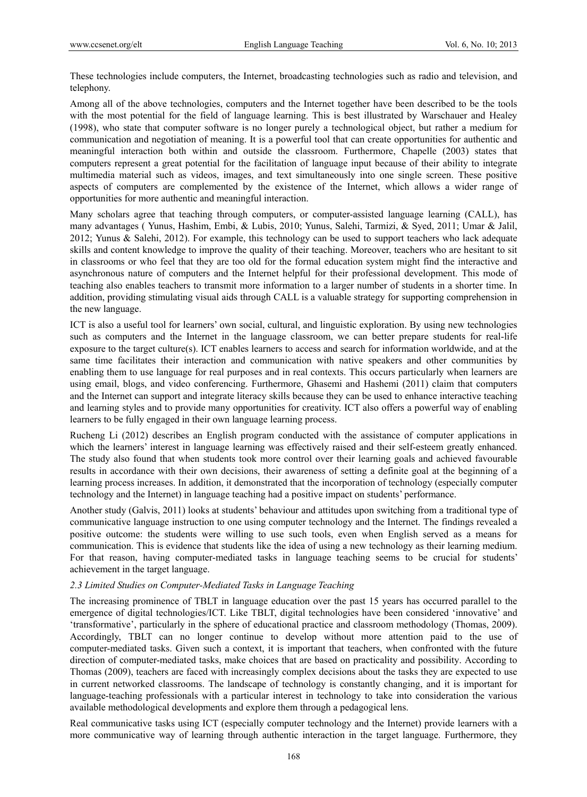These technologies include computers, the Internet, broadcasting technologies such as radio and television, and telephony.

Among all of the above technologies, computers and the Internet together have been described to be the tools with the most potential for the field of language learning. This is best illustrated by Warschauer and Healey (1998), who state that computer software is no longer purely a technological object, but rather a medium for communication and negotiation of meaning. It is a powerful tool that can create opportunities for authentic and meaningful interaction both within and outside the classroom. Furthermore, Chapelle (2003) states that computers represent a great potential for the facilitation of language input because of their ability to integrate multimedia material such as videos, images, and text simultaneously into one single screen. These positive aspects of computers are complemented by the existence of the Internet, which allows a wider range of opportunities for more authentic and meaningful interaction.

Many scholars agree that teaching through computers, or computer-assisted language learning (CALL), has many advantages ( Yunus, Hashim, Embi, & Lubis, 2010; Yunus, Salehi, Tarmizi, & Syed, 2011; Umar & Jalil, 2012; Yunus & Salehi, 2012). For example, this technology can be used to support teachers who lack adequate skills and content knowledge to improve the quality of their teaching. Moreover, teachers who are hesitant to sit in classrooms or who feel that they are too old for the formal education system might find the interactive and asynchronous nature of computers and the Internet helpful for their professional development. This mode of teaching also enables teachers to transmit more information to a larger number of students in a shorter time. In addition, providing stimulating visual aids through CALL is a valuable strategy for supporting comprehension in the new language.

ICT is also a useful tool for learners' own social, cultural, and linguistic exploration. By using new technologies such as computers and the Internet in the language classroom, we can better prepare students for real-life exposure to the target culture(s). ICT enables learners to access and search for information worldwide, and at the same time facilitates their interaction and communication with native speakers and other communities by enabling them to use language for real purposes and in real contexts. This occurs particularly when learners are using email, blogs, and video conferencing. Furthermore, Ghasemi and Hashemi (2011) claim that computers and the Internet can support and integrate literacy skills because they can be used to enhance interactive teaching and learning styles and to provide many opportunities for creativity. ICT also offers a powerful way of enabling learners to be fully engaged in their own language learning process.

Rucheng Li (2012) describes an English program conducted with the assistance of computer applications in which the learners' interest in language learning was effectively raised and their self-esteem greatly enhanced. The study also found that when students took more control over their learning goals and achieved favourable results in accordance with their own decisions, their awareness of setting a definite goal at the beginning of a learning process increases. In addition, it demonstrated that the incorporation of technology (especially computer technology and the Internet) in language teaching had a positive impact on students' performance.

Another study (Galvis, 2011) looks at students' behaviour and attitudes upon switching from a traditional type of communicative language instruction to one using computer technology and the Internet. The findings revealed a positive outcome: the students were willing to use such tools, even when English served as a means for communication. This is evidence that students like the idea of using a new technology as their learning medium. For that reason, having computer-mediated tasks in language teaching seems to be crucial for students' achievement in the target language.

# *2.3 Limited Studies on Computer-Mediated Tasks in Language Teaching*

The increasing prominence of TBLT in language education over the past 15 years has occurred parallel to the emergence of digital technologies/ICT. Like TBLT, digital technologies have been considered 'innovative' and 'transformative', particularly in the sphere of educational practice and classroom methodology (Thomas, 2009). Accordingly, TBLT can no longer continue to develop without more attention paid to the use of computer-mediated tasks. Given such a context, it is important that teachers, when confronted with the future direction of computer-mediated tasks, make choices that are based on practicality and possibility. According to Thomas (2009), teachers are faced with increasingly complex decisions about the tasks they are expected to use in current networked classrooms. The landscape of technology is constantly changing, and it is important for language-teaching professionals with a particular interest in technology to take into consideration the various available methodological developments and explore them through a pedagogical lens.

Real communicative tasks using ICT (especially computer technology and the Internet) provide learners with a more communicative way of learning through authentic interaction in the target language. Furthermore, they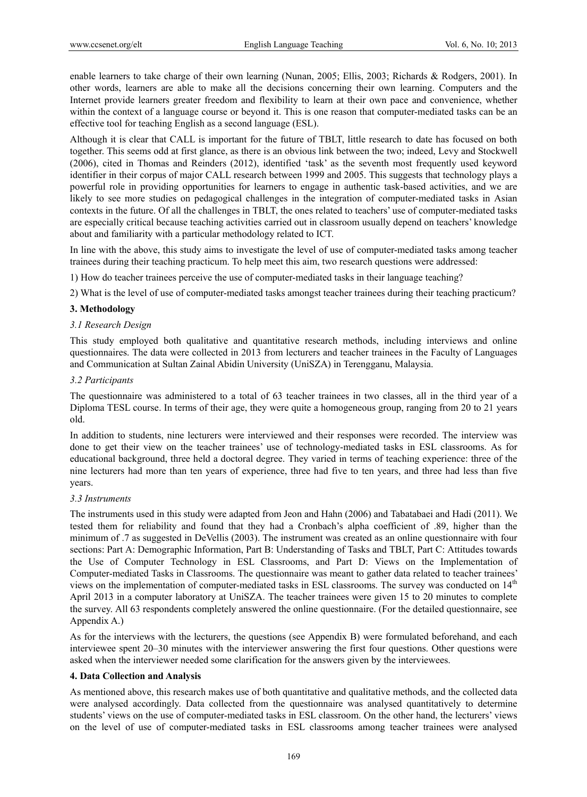enable learners to take charge of their own learning (Nunan, 2005; Ellis, 2003; Richards & Rodgers, 2001). In other words, learners are able to make all the decisions concerning their own learning. Computers and the Internet provide learners greater freedom and flexibility to learn at their own pace and convenience, whether within the context of a language course or beyond it. This is one reason that computer-mediated tasks can be an effective tool for teaching English as a second language (ESL).

Although it is clear that CALL is important for the future of TBLT, little research to date has focused on both together. This seems odd at first glance, as there is an obvious link between the two; indeed, Levy and Stockwell (2006), cited in Thomas and Reinders (2012), identified 'task' as the seventh most frequently used keyword identifier in their corpus of major CALL research between 1999 and 2005. This suggests that technology plays a powerful role in providing opportunities for learners to engage in authentic task-based activities, and we are likely to see more studies on pedagogical challenges in the integration of computer-mediated tasks in Asian contexts in the future. Of all the challenges in TBLT, the ones related to teachers' use of computer-mediated tasks are especially critical because teaching activities carried out in classroom usually depend on teachers' knowledge about and familiarity with a particular methodology related to ICT.

In line with the above, this study aims to investigate the level of use of computer-mediated tasks among teacher trainees during their teaching practicum. To help meet this aim, two research questions were addressed:

1) How do teacher trainees perceive the use of computer-mediated tasks in their language teaching?

2) What is the level of use of computer-mediated tasks amongst teacher trainees during their teaching practicum?

# **3. Methodology**

#### *3.1 Research Design*

This study employed both qualitative and quantitative research methods, including interviews and online questionnaires. The data were collected in 2013 from lecturers and teacher trainees in the Faculty of Languages and Communication at Sultan Zainal Abidin University (UniSZA) in Terengganu, Malaysia.

#### *3.2 Participants*

The questionnaire was administered to a total of 63 teacher trainees in two classes, all in the third year of a Diploma TESL course. In terms of their age, they were quite a homogeneous group, ranging from 20 to 21 years old.

In addition to students, nine lecturers were interviewed and their responses were recorded. The interview was done to get their view on the teacher trainees' use of technology-mediated tasks in ESL classrooms. As for educational background, three held a doctoral degree. They varied in terms of teaching experience: three of the nine lecturers had more than ten years of experience, three had five to ten years, and three had less than five years.

# *3.3 Instruments*

The instruments used in this study were adapted from Jeon and Hahn (2006) and Tabatabaei and Hadi (2011). We tested them for reliability and found that they had a Cronbach's alpha coefficient of .89, higher than the minimum of .7 as suggested in DeVellis (2003). The instrument was created as an online questionnaire with four sections: Part A: Demographic Information, Part B: Understanding of Tasks and TBLT, Part C: Attitudes towards the Use of Computer Technology in ESL Classrooms, and Part D: Views on the Implementation of Computer-mediated Tasks in Classrooms. The questionnaire was meant to gather data related to teacher trainees' views on the implementation of computer-mediated tasks in ESL classrooms. The survey was conducted on  $14<sup>th</sup>$ April 2013 in a computer laboratory at UniSZA. The teacher trainees were given 15 to 20 minutes to complete the survey. All 63 respondents completely answered the online questionnaire. (For the detailed questionnaire, see Appendix A.)

As for the interviews with the lecturers, the questions (see Appendix B) were formulated beforehand, and each interviewee spent 20–30 minutes with the interviewer answering the first four questions. Other questions were asked when the interviewer needed some clarification for the answers given by the interviewees.

#### **4. Data Collection and Analysis**

As mentioned above, this research makes use of both quantitative and qualitative methods, and the collected data were analysed accordingly. Data collected from the questionnaire was analysed quantitatively to determine students' views on the use of computer-mediated tasks in ESL classroom. On the other hand, the lecturers' views on the level of use of computer-mediated tasks in ESL classrooms among teacher trainees were analysed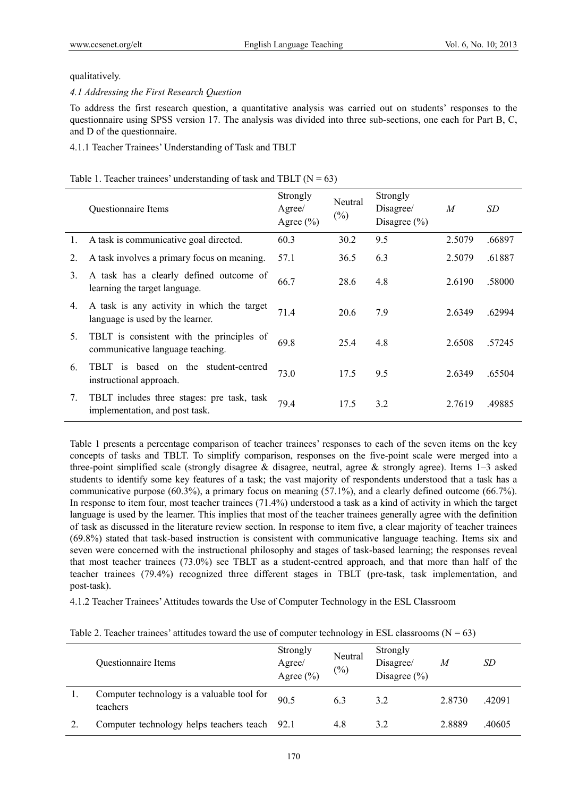#### qualitatively.

#### *4.1 Addressing the First Research Question*

To address the first research question, a quantitative analysis was carried out on students' responses to the questionnaire using SPSS version 17. The analysis was divided into three sub-sections, one each for Part B, C, and D of the questionnaire.

4.1.1 Teacher Trainees' Understanding of Task and TBLT

| Table 1. Teacher trainees' understanding of task and TBLT ( $N = 63$ ) |  |  |
|------------------------------------------------------------------------|--|--|
|                                                                        |  |  |

|    | Questionnaire Items                                                            | Strongly<br>Agree/<br>Agree $(\% )$ | Neutral<br>$(\%)$ | Strongly<br>Disagree/<br>Disagree $(\% )$ | M      | SD     |
|----|--------------------------------------------------------------------------------|-------------------------------------|-------------------|-------------------------------------------|--------|--------|
| 1. | A task is communicative goal directed.                                         | 60.3                                | 30.2              | 9.5                                       | 2.5079 | .66897 |
| 2. | A task involves a primary focus on meaning.                                    | 57.1                                | 36.5              | 6.3                                       | 2.5079 | .61887 |
| 3. | A task has a clearly defined outcome of<br>learning the target language.       | 66.7                                | 28.6              | 4.8                                       | 2.6190 | .58000 |
| 4. | A task is any activity in which the target<br>language is used by the learner. | 71.4                                | 20.6              | 7.9                                       | 2.6349 | .62994 |
| 5. | TBLT is consistent with the principles of<br>communicative language teaching.  | 69.8                                | 25.4              | 4.8                                       | 2.6508 | .57245 |
| 6. | TBLT is based on the student-centred<br>instructional approach.                | 73.0                                | 17.5              | 9.5                                       | 2.6349 | .65504 |
| 7. | TBLT includes three stages: pre task, task<br>implementation, and post task.   | 79.4                                | 17.5              | 3.2                                       | 2.7619 | .49885 |

Table 1 presents a percentage comparison of teacher trainees' responses to each of the seven items on the key concepts of tasks and TBLT. To simplify comparison, responses on the five-point scale were merged into a three-point simplified scale (strongly disagree & disagree, neutral, agree & strongly agree). Items 1–3 asked students to identify some key features of a task; the vast majority of respondents understood that a task has a communicative purpose (60.3%), a primary focus on meaning (57.1%), and a clearly defined outcome (66.7%). In response to item four, most teacher trainees (71.4%) understood a task as a kind of activity in which the target language is used by the learner. This implies that most of the teacher trainees generally agree with the definition of task as discussed in the literature review section. In response to item five, a clear majority of teacher trainees (69.8%) stated that task-based instruction is consistent with communicative language teaching. Items six and seven were concerned with the instructional philosophy and stages of task-based learning; the responses reveal that most teacher trainees (73.0%) see TBLT as a student-centred approach, and that more than half of the teacher trainees (79.4%) recognized three different stages in TBLT (pre-task, task implementation, and post-task).

4.1.2 Teacher Trainees' Attitudes towards the Use of Computer Technology in the ESL Classroom

| <b>Ouestionnaire Items</b>                             | Strongly<br>Agree/<br>Agree $(\% )$ | Neutral<br>$(\%)$ | Strongly<br>Disagree/<br>Disagree $(\% )$ | M      | SD     |
|--------------------------------------------------------|-------------------------------------|-------------------|-------------------------------------------|--------|--------|
| Computer technology is a valuable tool for<br>teachers | 90.5                                | 6.3               | 32                                        | 2.8730 | .42091 |
| Computer technology helps teachers teach 92.1          |                                     | 4.8               | 3.2                                       | 2.8889 | .40605 |

Table 2. Teacher trainees' attitudes toward the use of computer technology in ESL classrooms ( $N = 63$ )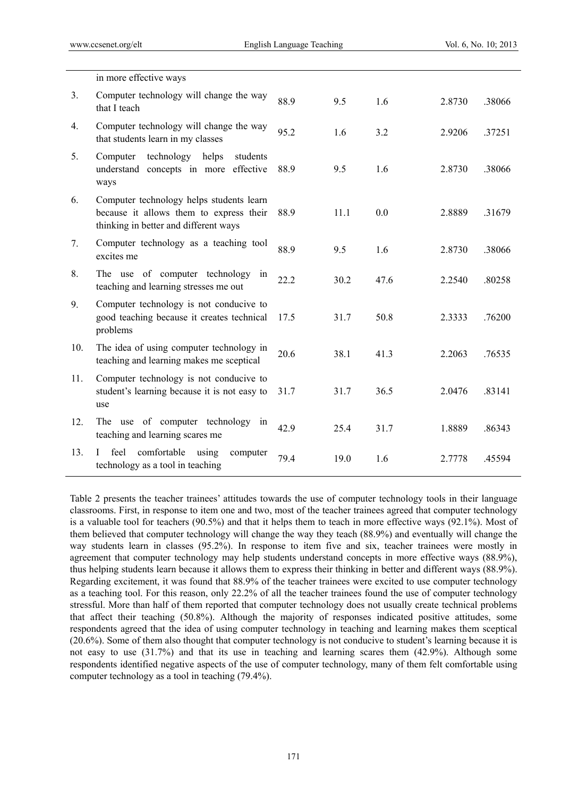|     | in more effective ways                                                                                                       |      |      |      |        |        |
|-----|------------------------------------------------------------------------------------------------------------------------------|------|------|------|--------|--------|
| 3.  | Computer technology will change the way<br>that I teach                                                                      | 88.9 | 9.5  | 1.6  | 2.8730 | .38066 |
| 4.  | Computer technology will change the way<br>that students learn in my classes                                                 | 95.2 | 1.6  | 3.2  | 2.9206 | .37251 |
| 5.  | technology<br>Computer<br>helps<br>students<br>understand concepts in more<br>effective<br>ways                              | 88.9 | 9.5  | 1.6  | 2.8730 | .38066 |
| 6.  | Computer technology helps students learn<br>because it allows them to express their<br>thinking in better and different ways | 88.9 | 11.1 | 0.0  | 2.8889 | .31679 |
| 7.  | Computer technology as a teaching tool<br>excites me                                                                         | 88.9 | 9.5  | 1.6  | 2.8730 | .38066 |
| 8.  | The use of computer technology<br>in<br>teaching and learning stresses me out                                                | 22.2 | 30.2 | 47.6 | 2.2540 | .80258 |
| 9.  | Computer technology is not conducive to<br>good teaching because it creates technical<br>problems                            | 17.5 | 31.7 | 50.8 | 2.3333 | .76200 |
| 10. | The idea of using computer technology in<br>teaching and learning makes me sceptical                                         | 20.6 | 38.1 | 41.3 | 2.2063 | .76535 |
| 11. | Computer technology is not conducive to<br>student's learning because it is not easy to<br>use                               | 31.7 | 31.7 | 36.5 | 2.0476 | .83141 |
| 12. | The use of computer technology<br>in<br>teaching and learning scares me                                                      | 42.9 | 25.4 | 31.7 | 1.8889 | .86343 |
| 13. | feel<br>comfortable<br>using<br>L<br>computer<br>technology as a tool in teaching                                            | 79.4 | 19.0 | 1.6  | 2.7778 | .45594 |

Table 2 presents the teacher trainees' attitudes towards the use of computer technology tools in their language classrooms. First, in response to item one and two, most of the teacher trainees agreed that computer technology is a valuable tool for teachers (90.5%) and that it helps them to teach in more effective ways (92.1%). Most of them believed that computer technology will change the way they teach (88.9%) and eventually will change the way students learn in classes (95.2%). In response to item five and six, teacher trainees were mostly in agreement that computer technology may help students understand concepts in more effective ways (88.9%), thus helping students learn because it allows them to express their thinking in better and different ways (88.9%). Regarding excitement, it was found that 88.9% of the teacher trainees were excited to use computer technology as a teaching tool. For this reason, only 22.2% of all the teacher trainees found the use of computer technology stressful. More than half of them reported that computer technology does not usually create technical problems that affect their teaching (50.8%). Although the majority of responses indicated positive attitudes, some respondents agreed that the idea of using computer technology in teaching and learning makes them sceptical (20.6%). Some of them also thought that computer technology is not conducive to student's learning because it is not easy to use (31.7%) and that its use in teaching and learning scares them (42.9%). Although some respondents identified negative aspects of the use of computer technology, many of them felt comfortable using computer technology as a tool in teaching (79.4%).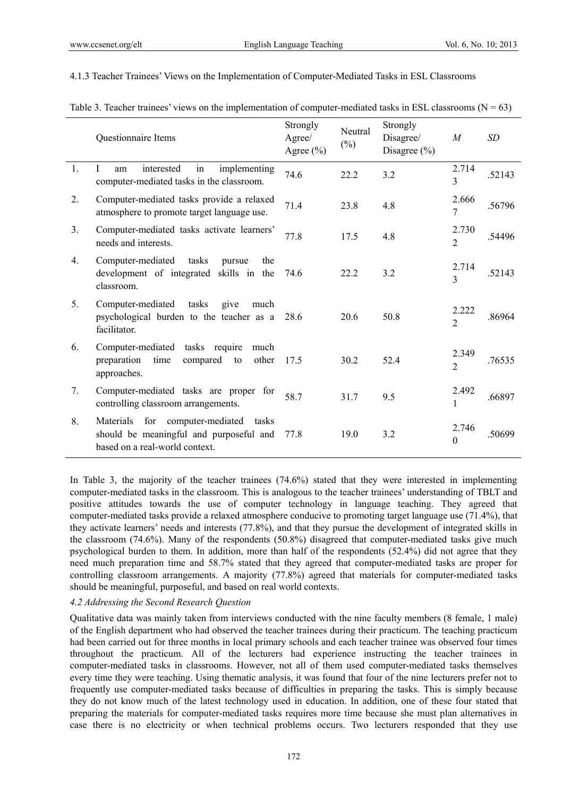|                  | Table 3. Teacher trainees' views on the implementation of computer-mediated tasks in ESL classrooms ( $N = 63$ )         |                                     |                   |                                           |                         |           |  |  |  |
|------------------|--------------------------------------------------------------------------------------------------------------------------|-------------------------------------|-------------------|-------------------------------------------|-------------------------|-----------|--|--|--|
|                  | Questionnaire Items                                                                                                      | Strongly<br>Agree/<br>Agree $(\% )$ | Neutral<br>$(\%)$ | Strongly<br>Disagree/<br>Disagree $(\% )$ | $\boldsymbol{M}$        | <b>SD</b> |  |  |  |
| $\overline{1}$ . | implementing<br>$\mathbf{I}$<br>interested<br>in<br>am<br>computer-mediated tasks in the classroom.                      | 74.6                                | 22.2              | 3.2                                       | 2.714<br>3              | .52143    |  |  |  |
| 2.               | Computer-mediated tasks provide a relaxed<br>atmosphere to promote target language use.                                  | 71.4                                | 23.8              | 4.8                                       | 2.666<br>7              | .56796    |  |  |  |
| 3 <sub>1</sub>   | Computer-mediated tasks activate learners'<br>needs and interests.                                                       | 77.8                                | 17.5              | 4.8                                       | 2.730<br>$\overline{2}$ | .54496    |  |  |  |
| 4.               | Computer-mediated<br>tasks<br>pursue<br>the<br>development of integrated skills in the<br>classroom.                     | 74.6                                | 22.2              | 3.2                                       | 2.714<br>3              | .52143    |  |  |  |
| 5.               | Computer-mediated<br>tasks<br>give<br>much<br>psychological burden to the teacher as a<br>facilitator.                   | 28.6                                | 20.6              | 50.8                                      | 2.222<br>$\overline{c}$ | .86964    |  |  |  |
| 6.               | Computer-mediated tasks require<br>much<br>preparation<br>time<br>compared to<br>other<br>approaches.                    | 17.5                                | 30.2              | 52.4                                      | 2.349<br>$\overline{2}$ | .76535    |  |  |  |
| 7.               | Computer-mediated tasks are proper for<br>controlling classroom arrangements.                                            | 58.7                                | 31.7              | 9.5                                       | 2.492<br>1              | .66897    |  |  |  |
| 8.               | Materials<br>for computer-mediated<br>tasks<br>should be meaningful and purposeful and<br>based on a real-world context. | 77.8                                | 19.0              | 3.2                                       | 2.746<br>$\mathbf{0}$   | .50699    |  |  |  |

# 4.1.3 Teacher Trainees' Views on the Implementation of Computer-Mediated Tasks in ESL Classrooms

|  | Table 3. Teacher trainees' views on the implementation of computer-mediated tasks in ESL classrooms ( $N = 63$ ) |  |
|--|------------------------------------------------------------------------------------------------------------------|--|
|  |                                                                                                                  |  |

In Table 3, the majority of the teacher trainees (74.6%) stated that they were interested in implementing computer-mediated tasks in the classroom. This is analogous to the teacher trainees' understanding of TBLT and positive attitudes towards the use of computer technology in language teaching. They agreed that computer-mediated tasks provide a relaxed atmosphere conducive to promoting target language use (71.4%), that they activate learners' needs and interests (77.8%), and that they pursue the development of integrated skills in the classroom (74.6%). Many of the respondents (50.8%) disagreed that computer-mediated tasks give much psychological burden to them. In addition, more than half of the respondents (52.4%) did not agree that they need much preparation time and 58.7% stated that they agreed that computer-mediated tasks are proper for controlling classroom arrangements. A majority (77.8%) agreed that materials for computer-mediated tasks should be meaningful, purposeful, and based on real world contexts.

# *4.2 Addressing the Second Research Question*

Qualitative data was mainly taken from interviews conducted with the nine faculty members (8 female, 1 male) of the English department who had observed the teacher trainees during their practicum. The teaching practicum had been carried out for three months in local primary schools and each teacher trainee was observed four times throughout the practicum. All of the lecturers had experience instructing the teacher trainees in computer-mediated tasks in classrooms. However, not all of them used computer-mediated tasks themselves every time they were teaching. Using thematic analysis, it was found that four of the nine lecturers prefer not to frequently use computer-mediated tasks because of difficulties in preparing the tasks. This is simply because they do not know much of the latest technology used in education. In addition, one of these four stated that preparing the materials for computer-mediated tasks requires more time because she must plan alternatives in case there is no electricity or when technical problems occurs. Two lecturers responded that they use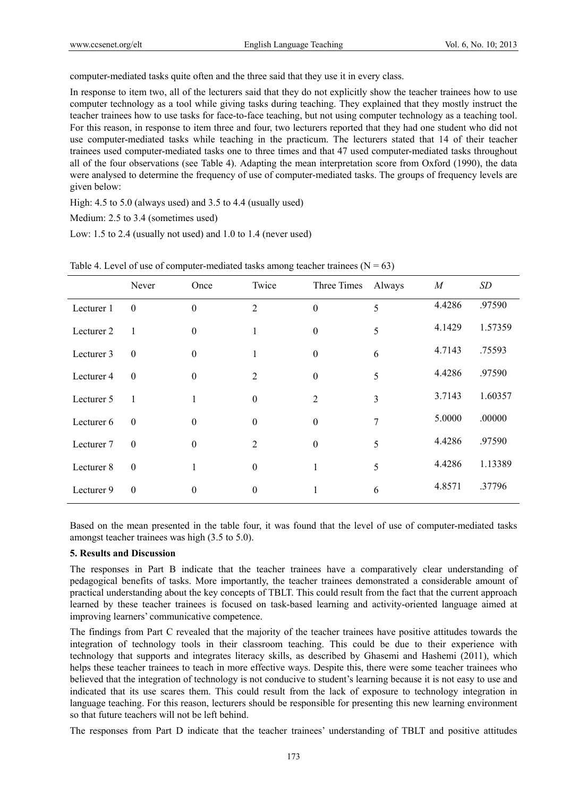computer-mediated tasks quite often and the three said that they use it in every class.

In response to item two, all of the lecturers said that they do not explicitly show the teacher trainees how to use computer technology as a tool while giving tasks during teaching. They explained that they mostly instruct the teacher trainees how to use tasks for face-to-face teaching, but not using computer technology as a teaching tool. For this reason, in response to item three and four, two lecturers reported that they had one student who did not use computer-mediated tasks while teaching in the practicum. The lecturers stated that 14 of their teacher trainees used computer-mediated tasks one to three times and that 47 used computer-mediated tasks throughout all of the four observations (see Table 4). Adapting the mean interpretation score from Oxford (1990), the data were analysed to determine the frequency of use of computer-mediated tasks. The groups of frequency levels are given below:

High: 4.5 to 5.0 (always used) and 3.5 to 4.4 (usually used)

Medium: 2.5 to 3.4 (sometimes used)

Low: 1.5 to 2.4 (usually not used) and 1.0 to 1.4 (never used)

|            | Never            | Once             | Twice            | Three Times      | Always        | $\boldsymbol{M}$ | SD      |
|------------|------------------|------------------|------------------|------------------|---------------|------------------|---------|
| Lecturer 1 | $\boldsymbol{0}$ | $\boldsymbol{0}$ | $\overline{2}$   | $\boldsymbol{0}$ | 5             | 4.4286           | .97590  |
| Lecturer 2 | $\mathbf{1}$     | $\boldsymbol{0}$ |                  | $\theta$         | 5             | 4.1429           | 1.57359 |
| Lecturer 3 | $\mathbf{0}$     | $\boldsymbol{0}$ | 1                | $\theta$         | 6             | 4.7143           | .75593  |
| Lecturer 4 | $\boldsymbol{0}$ | $\boldsymbol{0}$ | 2                | $\boldsymbol{0}$ | 5             | 4.4286           | .97590  |
| Lecturer 5 | $\mathbf{1}$     |                  | $\boldsymbol{0}$ | 2                | $\mathcal{E}$ | 3.7143           | 1.60357 |
| Lecturer 6 | $\theta$         | $\theta$         | $\theta$         | $\Omega$         | 7             | 5.0000           | .00000  |
| Lecturer 7 | $\boldsymbol{0}$ | $\boldsymbol{0}$ | $\overline{2}$   | $\theta$         | 5             | 4.4286           | .97590  |
| Lecturer 8 | $\mathbf{0}$     | 1                | $\boldsymbol{0}$ | 1                | 5             | 4.4286           | 1.13389 |
| Lecturer 9 | $\mathbf{0}$     | $\boldsymbol{0}$ | $\boldsymbol{0}$ |                  | 6             | 4.8571           | .37796  |

Table 4. Level of use of computer-mediated tasks among teacher trainees ( $N = 63$ )

Based on the mean presented in the table four, it was found that the level of use of computer-mediated tasks amongst teacher trainees was high (3.5 to 5.0).

# **5. Results and Discussion**

The responses in Part B indicate that the teacher trainees have a comparatively clear understanding of pedagogical benefits of tasks. More importantly, the teacher trainees demonstrated a considerable amount of practical understanding about the key concepts of TBLT. This could result from the fact that the current approach learned by these teacher trainees is focused on task-based learning and activity-oriented language aimed at improving learners' communicative competence.

The findings from Part C revealed that the majority of the teacher trainees have positive attitudes towards the integration of technology tools in their classroom teaching. This could be due to their experience with technology that supports and integrates literacy skills, as described by Ghasemi and Hashemi (2011), which helps these teacher trainees to teach in more effective ways. Despite this, there were some teacher trainees who believed that the integration of technology is not conducive to student's learning because it is not easy to use and indicated that its use scares them. This could result from the lack of exposure to technology integration in language teaching. For this reason, lecturers should be responsible for presenting this new learning environment so that future teachers will not be left behind.

The responses from Part D indicate that the teacher trainees' understanding of TBLT and positive attitudes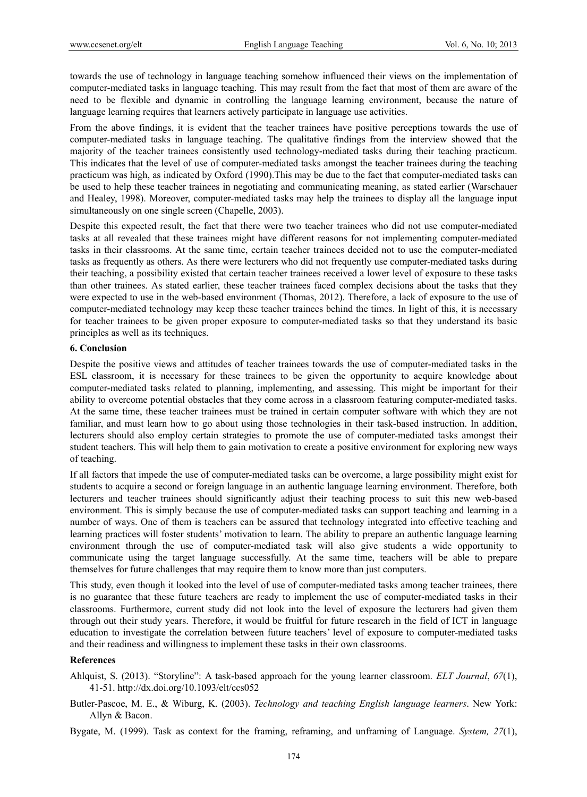towards the use of technology in language teaching somehow influenced their views on the implementation of computer-mediated tasks in language teaching. This may result from the fact that most of them are aware of the need to be flexible and dynamic in controlling the language learning environment, because the nature of language learning requires that learners actively participate in language use activities.

From the above findings, it is evident that the teacher trainees have positive perceptions towards the use of computer-mediated tasks in language teaching. The qualitative findings from the interview showed that the majority of the teacher trainees consistently used technology-mediated tasks during their teaching practicum. This indicates that the level of use of computer-mediated tasks amongst the teacher trainees during the teaching practicum was high, as indicated by Oxford (1990).This may be due to the fact that computer-mediated tasks can be used to help these teacher trainees in negotiating and communicating meaning, as stated earlier (Warschauer and Healey, 1998). Moreover, computer-mediated tasks may help the trainees to display all the language input simultaneously on one single screen (Chapelle, 2003).

Despite this expected result, the fact that there were two teacher trainees who did not use computer-mediated tasks at all revealed that these trainees might have different reasons for not implementing computer-mediated tasks in their classrooms. At the same time, certain teacher trainees decided not to use the computer-mediated tasks as frequently as others. As there were lecturers who did not frequently use computer-mediated tasks during their teaching, a possibility existed that certain teacher trainees received a lower level of exposure to these tasks than other trainees. As stated earlier, these teacher trainees faced complex decisions about the tasks that they were expected to use in the web-based environment (Thomas, 2012). Therefore, a lack of exposure to the use of computer-mediated technology may keep these teacher trainees behind the times. In light of this, it is necessary for teacher trainees to be given proper exposure to computer-mediated tasks so that they understand its basic principles as well as its techniques.

### **6. Conclusion**

Despite the positive views and attitudes of teacher trainees towards the use of computer-mediated tasks in the ESL classroom, it is necessary for these trainees to be given the opportunity to acquire knowledge about computer-mediated tasks related to planning, implementing, and assessing. This might be important for their ability to overcome potential obstacles that they come across in a classroom featuring computer-mediated tasks. At the same time, these teacher trainees must be trained in certain computer software with which they are not familiar, and must learn how to go about using those technologies in their task-based instruction. In addition, lecturers should also employ certain strategies to promote the use of computer-mediated tasks amongst their student teachers. This will help them to gain motivation to create a positive environment for exploring new ways of teaching.

If all factors that impede the use of computer-mediated tasks can be overcome, a large possibility might exist for students to acquire a second or foreign language in an authentic language learning environment. Therefore, both lecturers and teacher trainees should significantly adjust their teaching process to suit this new web-based environment. This is simply because the use of computer-mediated tasks can support teaching and learning in a number of ways. One of them is teachers can be assured that technology integrated into effective teaching and learning practices will foster students' motivation to learn. The ability to prepare an authentic language learning environment through the use of computer-mediated task will also give students a wide opportunity to communicate using the target language successfully. At the same time, teachers will be able to prepare themselves for future challenges that may require them to know more than just computers.

This study, even though it looked into the level of use of computer-mediated tasks among teacher trainees, there is no guarantee that these future teachers are ready to implement the use of computer-mediated tasks in their classrooms. Furthermore, current study did not look into the level of exposure the lecturers had given them through out their study years. Therefore, it would be fruitful for future research in the field of ICT in language education to investigate the correlation between future teachers' level of exposure to computer-mediated tasks and their readiness and willingness to implement these tasks in their own classrooms.

# **References**

- Ahlquist, S. (2013). "Storyline": A task-based approach for the young learner classroom. *ELT Journal*, *67*(1), 41-51. http://dx.doi.org/10.1093/elt/ccs052
- Butler-Pascoe, M. E., & Wiburg, K. (2003). *Technology and teaching English language learners*. New York: Allyn & Bacon.

Bygate, M. (1999). Task as context for the framing, reframing, and unframing of Language. *System, 27*(1),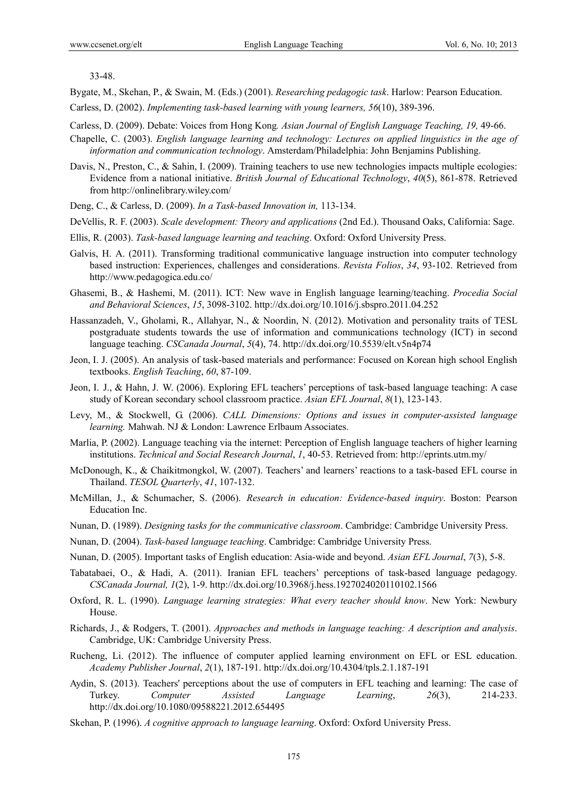33-48.

Bygate, M., Skehan, P., & Swain, M. (Eds.) (2001). *Researching pedagogic task*. Harlow: Pearson Education.

- Carless, D. (2002). *Implementing task-based learning with young learners, 56*(10), 389-396.
- Carless, D. (2009). Debate: Voices from Hong Kong*. Asian Journal of English Language Teaching, 19,* 49-66.
- Chapelle, C. (2003). *English language learning and technology: Lectures on applied linguistics in the age of information and communication technology*. Amsterdam/Philadelphia: John Benjamins Publishing.
- Davis, N., Preston, C., & Sahin, I. (2009). Training teachers to use new technologies impacts multiple ecologies: Evidence from a national initiative. *British Journal of Educational Technology*, *40*(5), 861-878. Retrieved from http://onlinelibrary.wiley.com/
- Deng, C., & Carless, D. (2009). *In a Task-based Innovation in,* 113-134.
- DeVellis, R. F. (2003). *Scale development: Theory and applications* (2nd Ed.). Thousand Oaks, California: Sage.
- Ellis, R. (2003). *Task-based language learning and teaching*. Oxford: Oxford University Press.
- Galvis, H. A. (2011). Transforming traditional communicative language instruction into computer technology based instruction: Experiences, challenges and considerations. *Revista Folios*, *34*, 93-102. Retrieved from http://www.pedagogica.edu.co/
- Ghasemi, B., & Hashemi, M. (2011). ICT: New wave in English language learning/teaching. *Procedia Social and Behavioral Sciences*, *15*, 3098-3102. http://dx.doi.org/10.1016/j.sbspro.2011.04.252
- Hassanzadeh, V., Gholami, R., Allahyar, N., & Noordin, N. (2012). Motivation and personality traits of TESL postgraduate students towards the use of information and communications technology (ICT) in second language teaching. *CSCanada Journal*, *5*(4), 74. http://dx.doi.org/10.5539/elt.v5n4p74
- Jeon, I. J. (2005). An analysis of task-based materials and performance: Focused on Korean high school English textbooks. *English Teaching*, *60*, 87-109.
- Jeon, I. J., & Hahn, J. W. (2006). Exploring EFL teachers' perceptions of task-based language teaching: A case study of Korean secondary school classroom practice. *Asian EFL Journal*, *8*(1), 123-143.
- Levy, M., & Stockwell, G. (2006). *CALL Dimensions: Options and issues in computer-assisted language learning.* Mahwah. NJ & London: Lawrence Erlbaum Associates.
- Marlia, P. (2002). Language teaching via the internet: Perception of English language teachers of higher learning institutions. *Technical and Social Research Journal*, *1*, 40-53. Retrieved from: http://eprints.utm.my/
- McDonough, K., & Chaikitmongkol, W. (2007). Teachers' and learners' reactions to a task-based EFL course in Thailand. *TESOL Quarterly*, *41*, 107-132.
- McMillan, J., & Schumacher, S. (2006). *Research in education: Evidence-based inquiry*. Boston: Pearson Education Inc.
- Nunan, D. (1989). *Designing tasks for the communicative classroom*. Cambridge: Cambridge University Press.
- Nunan, D. (2004). *Task-based language teaching*. Cambridge: Cambridge University Press.
- Nunan, D. (2005). Important tasks of English education: Asia-wide and beyond. *Asian EFL Journal*, *7*(3), 5-8.
- Tabatabaei, O., & Hadi, A. (2011). Iranian EFL teachers' perceptions of task-based language pedagogy. *CSCanada Journal, 1*(2), 1-9. http://dx.doi.org/10.3968/j.hess.1927024020110102.1566
- Oxford, R. L. (1990). *Language learning strategies: What every teacher should know*. New York: Newbury House.
- Richards, J., & Rodgers, T. (2001). *Approaches and methods in language teaching: A description and analysis*. Cambridge, UK: Cambridge University Press.
- Rucheng, Li. (2012). The influence of computer applied learning environment on EFL or ESL education. *Academy Publisher Journal*, *2*(1), 187-191. http://dx.doi.org/10.4304/tpls.2.1.187-191
- Aydin, S. (2013). Teachers' perceptions about the use of computers in EFL teaching and learning: The case of Turkey. *Computer Assisted Language Learning*, *26*(3), 214-233. http://dx.doi.org/10.1080/09588221.2012.654495
- Skehan, P. (1996). *A cognitive approach to language learning*. Oxford: Oxford University Press.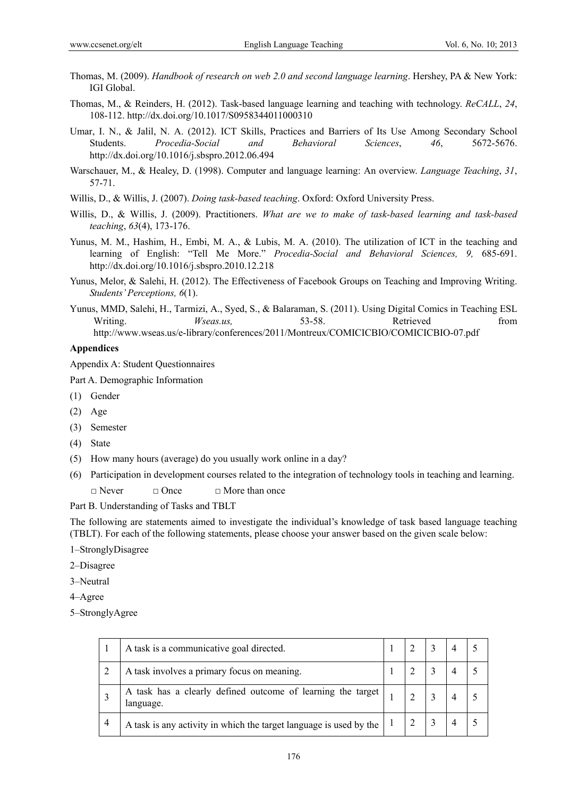- Thomas, M. (2009). *Handbook of research on web 2.0 and second language learning*. Hershey, PA & New York: IGI Global.
- Thomas, M., & Reinders, H. (2012). Task-based language learning and teaching with technology. *ReCALL*, *24*, 108-112. http://dx.doi.org/10.1017/S0958344011000310
- Umar, I. N., & Jalil, N. A. (2012). ICT Skills, Practices and Barriers of Its Use Among Secondary School Students. *Procedia-Social and Behavioral Sciences*, *46*, 5672-5676. http://dx.doi.org/10.1016/j.sbspro.2012.06.494
- Warschauer, M., & Healey, D. (1998). Computer and language learning: An overview. *Language Teaching*, *31*, 57-71.
- Willis, D., & Willis, J. (2007). *Doing task-based teaching*. Oxford: Oxford University Press.
- Willis, D., & Willis, J. (2009). Practitioners. *What are we to make of task-based learning and task-based teaching*, *63*(4), 173-176.
- Yunus, M. M., Hashim, H., Embi, M. A., & Lubis, M. A. (2010). The utilization of ICT in the teaching and learning of English: "Tell Me More." *Procedia-Social and Behavioral Sciences, 9,* 685-691. http://dx.doi.org/10.1016/j.sbspro.2010.12.218
- Yunus, Melor, & Salehi, H. (2012). The Effectiveness of Facebook Groups on Teaching and Improving Writing. *Students' Perceptions, 6*(1).
- Yunus, MMD, Salehi, H., Tarmizi, A., Syed, S., & Balaraman, S. (2011). Using Digital Comics in Teaching ESL Writing. *Wseas.us,* 53-58. Retrieved from http://www.wseas.us/e-library/conferences/2011/Montreux/COMICICBIO/COMICICBIO-07.pdf

# **Appendices**

Appendix A: Student Questionnaires

Part A. Demographic Information

- (1) Gender
- (2) Age
- (3) Semester
- (4) State
- (5) How many hours (average) do you usually work online in a day?
- (6) Participation in development courses related to the integration of technology tools in teaching and learning.

□ Never □ Once □ More than once

Part B. Understanding of Tasks and TBLT

The following are statements aimed to investigate the individual's knowledge of task based language teaching (TBLT). For each of the following statements, please choose your answer based on the given scale below:

- 1–StronglyDisagree
- 2–Disagree
- 3–Neutral
- 4–Agree
- 5–StronglyAgree

|                | A task is a communicative goal directed.                                 |  |  |  |
|----------------|--------------------------------------------------------------------------|--|--|--|
|                | A task involves a primary focus on meaning.                              |  |  |  |
|                | A task has a clearly defined outcome of learning the target<br>language. |  |  |  |
| $\overline{4}$ | A task is any activity in which the target language is used by the       |  |  |  |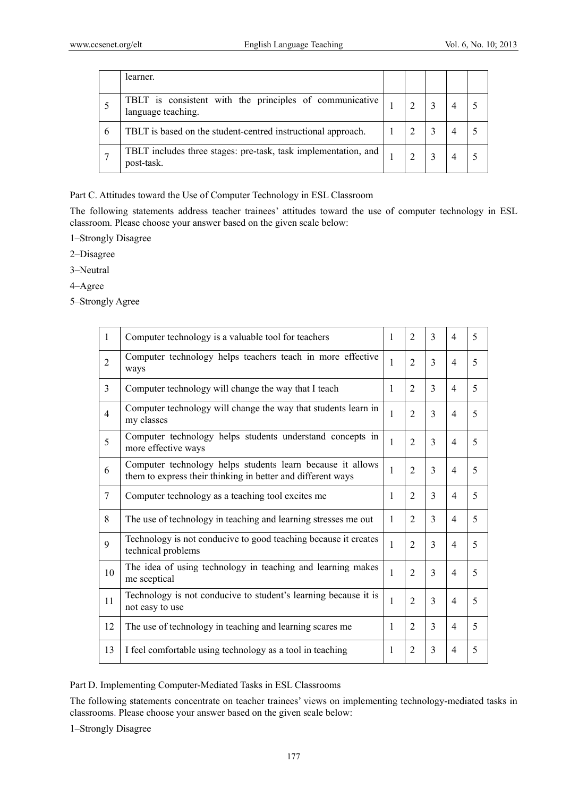|   | learner.                                                                      |  |  |  |
|---|-------------------------------------------------------------------------------|--|--|--|
|   | TBLT is consistent with the principles of communicative<br>language teaching. |  |  |  |
| 6 | TBLT is based on the student-centred instructional approach.                  |  |  |  |
|   | TBLT includes three stages: pre-task, task implementation, and<br>post-task.  |  |  |  |

Part C. Attitudes toward the Use of Computer Technology in ESL Classroom

The following statements address teacher trainees' attitudes toward the use of computer technology in ESL classroom. Please choose your answer based on the given scale below:

- 1–Strongly Disagree
- 2–Disagree
- 3–Neutral
- 4–Agree
- 5–Strongly Agree

| $\mathbf{1}$   | Computer technology is a valuable tool for teachers                                                                       | $\mathbf{1}$ | $\overline{2}$ | 3              | $\overline{4}$ | 5 |
|----------------|---------------------------------------------------------------------------------------------------------------------------|--------------|----------------|----------------|----------------|---|
| $\overline{2}$ | Computer technology helps teachers teach in more effective<br>ways                                                        | $\mathbf{1}$ | $\overline{2}$ | 3              | $\overline{4}$ | 5 |
| $\overline{3}$ | Computer technology will change the way that I teach                                                                      | $\mathbf{1}$ | $\overline{2}$ | 3              | $\overline{4}$ | 5 |
| $\overline{4}$ | Computer technology will change the way that students learn in<br>my classes                                              | $\mathbf{1}$ | $\overline{c}$ | 3              | $\overline{4}$ | 5 |
| 5              | Computer technology helps students understand concepts in<br>more effective ways                                          | $\mathbf{1}$ | $\overline{2}$ | 3              | $\overline{4}$ | 5 |
| 6              | Computer technology helps students learn because it allows<br>them to express their thinking in better and different ways | $\mathbf{1}$ | $\overline{2}$ | 3              | $\overline{4}$ | 5 |
| $\overline{7}$ | Computer technology as a teaching tool excites me                                                                         | 1            | $\overline{2}$ | 3              | $\overline{4}$ | 5 |
| 8              | The use of technology in teaching and learning stresses me out                                                            | $\mathbf{1}$ | $\overline{2}$ | 3              | $\overline{4}$ | 5 |
| 9              | Technology is not conducive to good teaching because it creates<br>technical problems                                     | $\mathbf{1}$ | $\overline{2}$ | 3              | $\overline{4}$ | 5 |
| 10             | The idea of using technology in teaching and learning makes<br>me sceptical                                               | $\mathbf{1}$ | $\overline{2}$ | 3              | $\overline{4}$ | 5 |
| 11             | Technology is not conducive to student's learning because it is<br>not easy to use                                        | $\mathbf{1}$ | $\overline{2}$ | $\overline{3}$ | 4              | 5 |
| 12             | The use of technology in teaching and learning scares me                                                                  | 1            | $\overline{2}$ | 3              | $\overline{4}$ | 5 |
| 13             | I feel comfortable using technology as a tool in teaching                                                                 | $\mathbf{1}$ | $\overline{c}$ | 3              | $\overline{4}$ | 5 |

Part D. Implementing Computer-Mediated Tasks in ESL Classrooms

The following statements concentrate on teacher trainees' views on implementing technology-mediated tasks in classrooms. Please choose your answer based on the given scale below:

1–Strongly Disagree